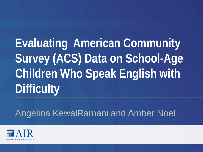**Evaluating American Community Survey (ACS) Data on School-Age Children Who Speak English with Difficulty**

Angelina KewalRamani and Amber Noel

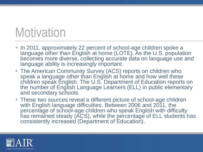# **Motivation**

- In 2011, approximately 22 percent of school-age children spoke a language other than English at home (LOTE). As the U.S. population becomes more diverse, collecting accurate data on language use and language ability is increasingly important.
- The American Community Survey (ACS) reports on children who speak a language other than English at home and how well these children speak English. The U.S. Department of Education reports on the number of English Language Learners (ELL) in public elementary and secondary schools.
- These two sources reveal a different picture of school-age children with English language difficulties. Between 2006 and 2011, the percentage of school-age children who speak English with difficulty has remained steady (ACS), while the percentage of ELL students has consistently increased (Department of Education).

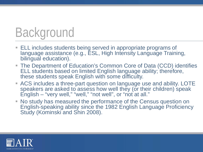# Background

- **ELL includes students being served in appropriate programs of** language assistance (e.g., ESL, High Intensity Language Training, bilingual education).
- The Department of Education's Common Core of Data (CCD) identifies ELL students based on limited English language ability; therefore, these students speak English with some difficulty.
- ACS includes a three-part question on language use and ability. LOTE speakers are asked to assess how well they (or their children) speak English – "very well," "well," "not well", or "not at all."
- No study has measured the performance of the Census question on English-speaking ability since the 1982 English Language Proficiency Study (Kominski and Shin 2008).

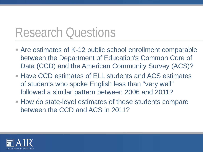## Research Questions

- Are estimates of K-12 public school enrollment comparable between the Department of Education's Common Core of Data (CCD) and the American Community Survey (ACS)?
- Have CCD estimates of ELL students and ACS estimates of students who spoke English less than "very well" followed a similar pattern between 2006 and 2011?
- How do state-level estimates of these students compare between the CCD and ACS in 2011?

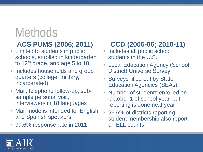# **Methods**

### **ACS PUMS (2006; 2011)**

- **Example 1** Limited to students in public schools, enrolled in kindergarten to 12<sup>th</sup> grade, and age 5 to 18
- Includes households and group quarters (college, military, incarcerated)
- Mail, telephone follow-up, subsample personal visit, interviewers in 18 languages
- Mail mode is intended for English and Spanish speakers
- 97.6% response rate in 2011

### **CCD (2005-06; 2010-11)**

- **Includes all public school** students in the U.S.
- **Example 21 Education Agency (School** District) Universe Survey
- Surveys filled out by State Education Agencies (SEAs)
- Number of students enrolled on October 1 of school year, but reporting is done next year
- 93.6% of districts reporting student membership also report on ELL counts

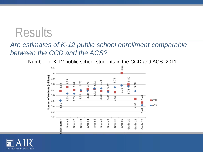## **Results**

### *Are estimates of K-12 public school enrollment comparable between the CCD and the ACS?*

Number of K-12 public school students in the CCD and ACS: 2011



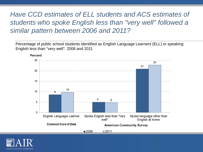### *Have CCD estimates of ELL students and ACS estimates of students who spoke English less than "very well" followed a similar pattern between 2006 and 2011?*

Percentage of public school students identified as English Language Learners (ELL) or speaking English less than "very well": 2006 and 2011



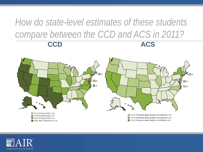### *How do state-level estimates of these students compare between the CCD and ACS in 2011?*  **CCD ACS**



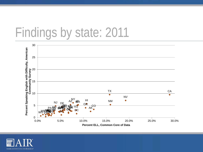## Findings by state: 2011



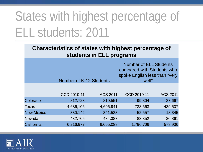# States with highest percentage of ELL students: 2011

#### **Characteristics of states with highest percentage of students in ELL programs**

|                   | <b>Number of K-12 Students</b> |                 | <b>Number of ELL Students</b><br>compared with Students who<br>spoke English less than "very<br>well" |                 |
|-------------------|--------------------------------|-----------------|-------------------------------------------------------------------------------------------------------|-----------------|
|                   |                                |                 |                                                                                                       |                 |
|                   | CCD 2010-11                    | <b>ACS 2011</b> | CCD 2010-11                                                                                           | <b>ACS 2011</b> |
| Colorado          | 812,723                        | 810,551         | 99,804                                                                                                | 27,667          |
| Texas             | 4,686,106                      | 4,606,941       | 738,663                                                                                               | 439,507         |
| <b>New Mexico</b> | 330,142                        | 341,523         | 52,557                                                                                                | 18,345          |
| Nevada            | 432,705                        | 434,387         | 83,352                                                                                                | 30,861          |
| California        | 6,216,977                      | 6,095,088       | 1,796,706                                                                                             | 578,936         |

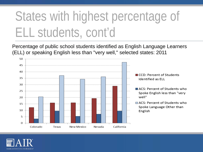# States with highest percentage of ELL students, cont'd

Percentage of public school students identified as English Language Learners (ELL) or speaking English less than "very well," selected states: 2011



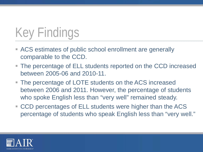# Key Findings

- ACS estimates of public school enrollment are generally comparable to the CCD.
- The percentage of ELL students reported on the CCD increased between 2005-06 and 2010-11.
- The percentage of LOTE students on the ACS increased between 2006 and 2011. However, the percentage of students who spoke English less than "very well" remained steady.
- CCD percentages of ELL students were higher than the ACS percentage of students who speak English less than "very well."

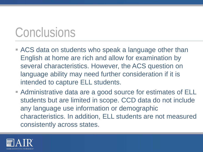# **Conclusions**

- ACS data on students who speak a language other than English at home are rich and allow for examination by several characteristics. However, the ACS question on language ability may need further consideration if it is intended to capture ELL students.
- Administrative data are a good source for estimates of ELL students but are limited in scope. CCD data do not include any language use information or demographic characteristics. In addition, ELL students are not measured consistently across states.

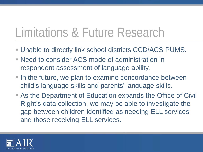# Limitations & Future Research

- Unable to directly link school districts CCD/ACS PUMS.
- Need to consider ACS mode of administration in respondent assessment of language ability.
- In the future, we plan to examine concordance between child's language skills and parents' language skills.
- As the Department of Education expands the Office of Civil Right's data collection, we may be able to investigate the gap between children identified as needing ELL services and those receiving ELL services.